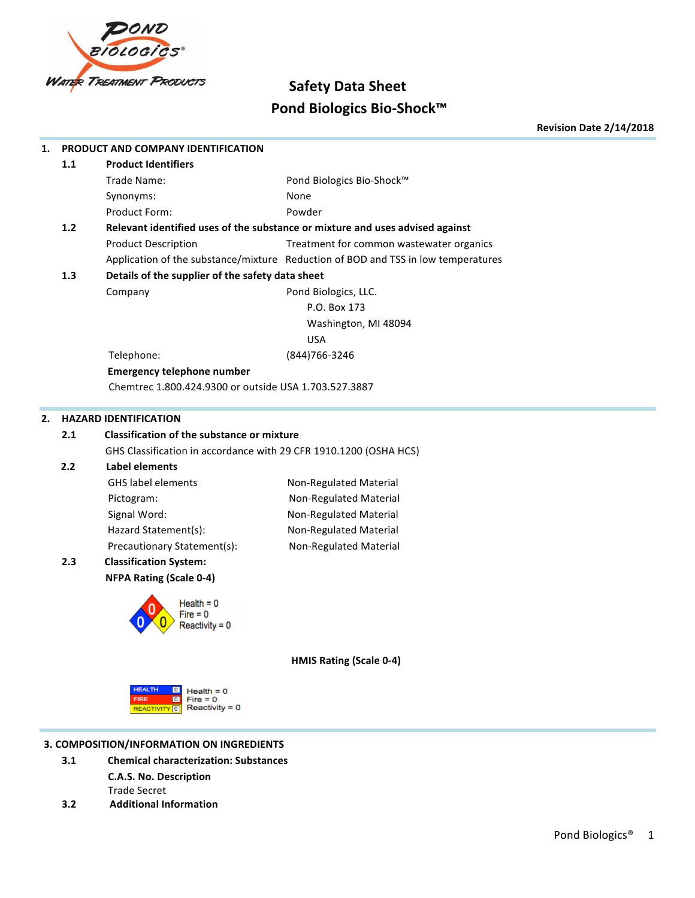

# **Safety Data Sheet Pond Biologics Bio-Shock™**

**Revision Date 2/14/2018**

| 1. |       | PRODUCT AND COMPANY IDENTIFICATION                                                 |                                                                                   |
|----|-------|------------------------------------------------------------------------------------|-----------------------------------------------------------------------------------|
|    | 1.1   | <b>Product Identifiers</b>                                                         |                                                                                   |
|    |       | Trade Name:                                                                        | Pond Biologics Bio-Shock™                                                         |
|    |       | Synonyms:                                                                          | None                                                                              |
|    |       | Product Form:                                                                      | Powder                                                                            |
|    | $1.2$ |                                                                                    | Relevant identified uses of the substance or mixture and uses advised against     |
|    |       | <b>Product Description</b>                                                         | Treatment for common wastewater organics                                          |
|    |       |                                                                                    | Application of the substance/mixture Reduction of BOD and TSS in low temperatures |
|    | 1.3   | Details of the supplier of the safety data sheet                                   |                                                                                   |
|    |       | Company                                                                            | Pond Biologics, LLC.                                                              |
|    |       |                                                                                    | P.O. Box 173                                                                      |
|    |       |                                                                                    | Washington, MI 48094                                                              |
|    |       |                                                                                    | <b>USA</b>                                                                        |
|    |       | Telephone:                                                                         | (844) 766-3246                                                                    |
|    |       | <b>Emergency telephone number</b>                                                  |                                                                                   |
|    |       | Chemtrec 1.800.424.9300 or outside USA 1.703.527.3887                              |                                                                                   |
|    |       |                                                                                    |                                                                                   |
| 2. |       | <b>HAZARD IDENTIFICATION</b>                                                       |                                                                                   |
|    | 2.1   | <b>Classification of the substance or mixture</b>                                  |                                                                                   |
|    |       | GHS Classification in accordance with 29 CFR 1910.1200 (OSHA HCS)                  |                                                                                   |
|    | 2.2   | <b>Label elements</b>                                                              |                                                                                   |
|    |       | <b>GHS</b> label elements                                                          | Non-Regulated Material                                                            |
|    |       | Pictogram:                                                                         | Non-Regulated Material                                                            |
|    |       | Signal Word:                                                                       | Non-Regulated Material                                                            |
|    |       | Hazard Statement(s):                                                               | Non-Regulated Material                                                            |
|    |       | Precautionary Statement(s):                                                        | Non-Regulated Material                                                            |
|    | 2.3   | <b>Classification System:</b>                                                      |                                                                                   |
|    |       | <b>NFPA Rating (Scale 0-4)</b>                                                     |                                                                                   |
|    |       | Health = 0                                                                         |                                                                                   |
|    |       |                                                                                    |                                                                                   |
|    |       | Reactivitv = 0                                                                     |                                                                                   |
|    |       |                                                                                    |                                                                                   |
|    |       |                                                                                    | HMIS Rating (Scale 0-4)                                                           |
|    |       | <b>HEALTH</b><br>$\circ$<br>$Health = 0$<br>$Fire = 0$<br><b>FIRE</b><br>$\bullet$ |                                                                                   |
|    |       | Reactivity = $0$<br>REACTIVITY 0                                                   |                                                                                   |
|    |       |                                                                                    |                                                                                   |

## **3. COMPOSITION/INFORMATION ON INGREDIENTS**

- **3.1 Chemical characterization: Substances C.A.S. No. Description** Trade Secret
- **3.2 Additional Information**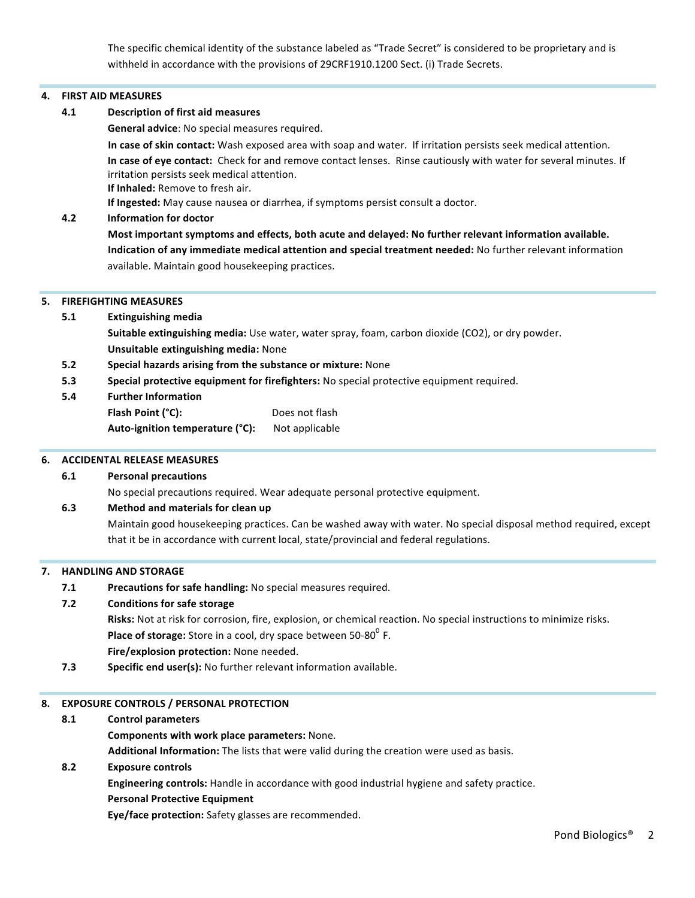The specific chemical identity of the substance labeled as "Trade Secret" is considered to be proprietary and is withheld in accordance with the provisions of 29CRF1910.1200 Sect. (i) Trade Secrets.

#### **4. FIRST AID MEASURES**

**4.1 Description of first aid measures**

**General advice:** No special measures required.

In case of skin contact: Wash exposed area with soap and water. If irritation persists seek medical attention. In case of eye contact: Check for and remove contact lenses. Rinse cautiously with water for several minutes. If irritation persists seek medical attention. **If Inhaled:** Remove to fresh air.

**If Ingested:** May cause nausea or diarrhea, if symptoms persist consult a doctor.

## **4.2 Information for doctor**

Most important symptoms and effects, both acute and delayed: No further relevant information available. **Indication of any immediate medical attention and special treatment needed:** No further relevant information available. Maintain good housekeeping practices.

#### **5. FIREFIGHTING MEASURES**

- **5.1 Extinguishing media Suitable extinguishing media:** Use water, water spray, foam, carbon dioxide (CO2), or dry powder. **Unsuitable extinguishing media:** None
- **5.2 Special hazards arising from the substance or mixture:** None
- **5.3 Special protective equipment for firefighters:** No special protective equipment required.
- **5.4 Further Information**

| Flash Point (°C):               | Does not flash |
|---------------------------------|----------------|
| Auto-ignition temperature (°C): | Not applicable |

#### **6. ACCIDENTAL RELEASE MEASURES**

## **6.1 Personal precautions**

No special precautions required. Wear adequate personal protective equipment.

#### **6.3 Method and materials for clean up**

Maintain good housekeeping practices. Can be washed away with water. No special disposal method required, except that it be in accordance with current local, state/provincial and federal regulations.

#### **7. HANDLING AND STORAGE**

**7.1** Precautions for safe handling: No special measures required.

#### **7.2 Conditions for safe storage**

**Risks:** Not at risk for corrosion, fire, explosion, or chemical reaction. No special instructions to minimize risks. **Place of storage:** Store in a cool, dry space between 50-80<sup>0</sup> F.

- **Fire/explosion protection:** None needed.
- **7.3 Specific end user(s):** No further relevant information available.

## 8. **EXPOSURE CONTROLS / PERSONAL PROTECTION**

#### **8.1 Control parameters**

#### **Components with work place parameters:** None.

**Additional Information:** The lists that were valid during the creation were used as basis.

## **8.2 Exposure controls**

**Engineering controls:** Handle in accordance with good industrial hygiene and safety practice.

#### **Personal Protective Equipment**

**Eye/face protection:** Safety glasses are recommended.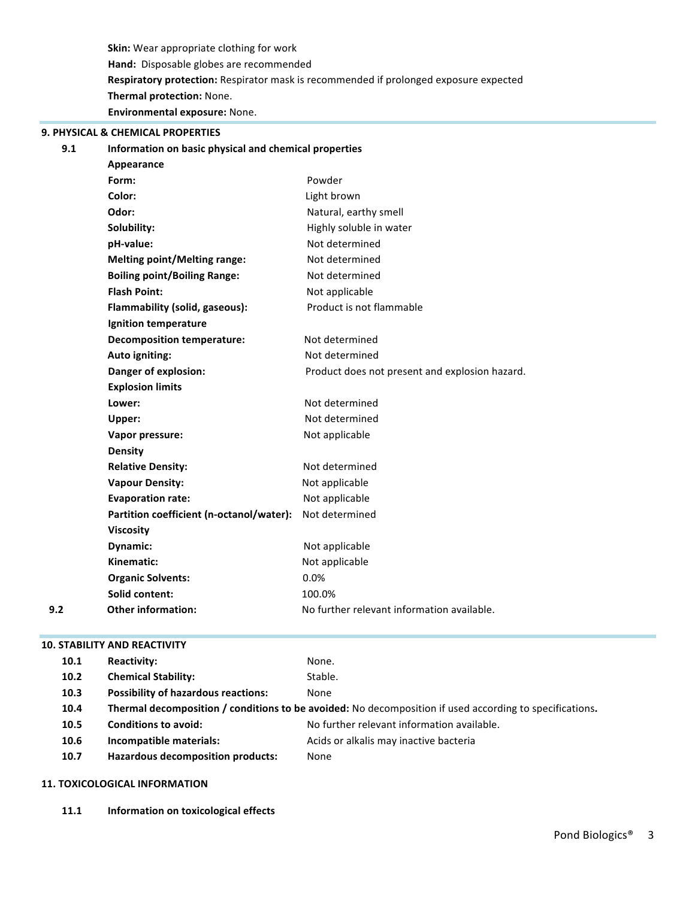**Skin:** Wear appropriate clothing for work Hand: Disposable globes are recommended **Respiratory protection:** Respirator mask is recommended if prolonged exposure expected **Thermal protection:** None. **Environmental exposure:** None.

# **9. PHYSICAL & CHEMICAL PROPERTIES**

#### **9.1 Information on basic physical and chemical properties**

|     | Appearance                               |                                                |
|-----|------------------------------------------|------------------------------------------------|
|     | Form:                                    | Powder                                         |
|     | Color:                                   | Light brown                                    |
|     | Odor:                                    | Natural, earthy smell                          |
|     | Solubility:                              | Highly soluble in water                        |
|     | pH-value:                                | Not determined                                 |
|     | <b>Melting point/Melting range:</b>      | Not determined                                 |
|     | <b>Boiling point/Boiling Range:</b>      | Not determined                                 |
|     | <b>Flash Point:</b>                      | Not applicable                                 |
|     | Flammability (solid, gaseous):           | Product is not flammable                       |
|     | Ignition temperature                     |                                                |
|     | <b>Decomposition temperature:</b>        | Not determined                                 |
|     | Auto igniting:                           | Not determined                                 |
|     | Danger of explosion:                     | Product does not present and explosion hazard. |
|     | <b>Explosion limits</b>                  |                                                |
|     | Lower:                                   | Not determined                                 |
|     | Upper:                                   | Not determined                                 |
|     | Vapor pressure:                          | Not applicable                                 |
|     | <b>Density</b>                           |                                                |
|     | <b>Relative Density:</b>                 | Not determined                                 |
|     | <b>Vapour Density:</b>                   | Not applicable                                 |
|     | <b>Evaporation rate:</b>                 | Not applicable                                 |
|     | Partition coefficient (n-octanol/water): | Not determined                                 |
|     | <b>Viscosity</b>                         |                                                |
|     | Dynamic:                                 | Not applicable                                 |
|     | Kinematic:                               | Not applicable                                 |
|     | <b>Organic Solvents:</b>                 | 0.0%                                           |
|     | Solid content:                           | 100.0%                                         |
| 9.2 | <b>Other information:</b>                | No further relevant information available.     |
|     |                                          |                                                |

#### **10. STABILITY AND REACTIVITY**

| 10.1              | <b>Reactivity:</b>                         | None.                                                                                                   |
|-------------------|--------------------------------------------|---------------------------------------------------------------------------------------------------------|
| 10.2 <sub>1</sub> | <b>Chemical Stability:</b>                 | Stable.                                                                                                 |
| 10.3              | <b>Possibility of hazardous reactions:</b> | None                                                                                                    |
| 10.4              |                                            | Thermal decomposition / conditions to be avoided: No decomposition if used according to specifications. |
| 10.5              | <b>Conditions to avoid:</b>                | No further relevant information available.                                                              |
| 10.6              | Incompatible materials:                    | Acids or alkalis may inactive bacteria                                                                  |
| 10.7              | <b>Hazardous decomposition products:</b>   | None                                                                                                    |
|                   |                                            |                                                                                                         |

#### **11. TOXICOLOGICAL INFORMATION**

11.1 **Information on toxicological effects**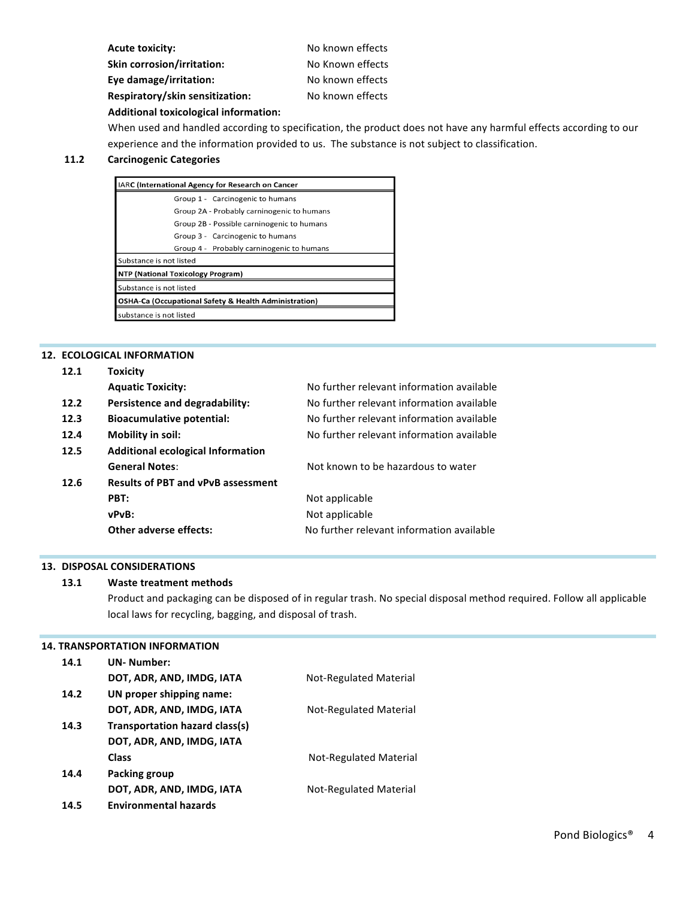| <b>Acute toxicity:</b>                | No known effects |
|---------------------------------------|------------------|
| <b>Skin corrosion/irritation:</b>     | No Known effects |
| Eye damage/irritation:                | No known effects |
| Respiratory/skin sensitization:       | No known effects |
| Additional toxicological information: |                  |

When used and handled according to specification, the product does not have any harmful effects according to our experience and the information provided to us. The substance is not subject to classification.

#### **11.2 Carcinogenic Categories**

| IARC (International Agency for Research on Cancer |                                                                  |  |
|---------------------------------------------------|------------------------------------------------------------------|--|
|                                                   | Group 1 - Carcinogenic to humans                                 |  |
|                                                   | Group 2A - Probably carninogenic to humans                       |  |
|                                                   | Group 2B - Possible carninogenic to humans                       |  |
|                                                   | Group 3 - Carcinogenic to humans                                 |  |
|                                                   | Group 4 - Probably carninogenic to humans                        |  |
|                                                   | Substance is not listed                                          |  |
| <b>NTP (National Toxicology Program)</b>          |                                                                  |  |
|                                                   | Substance is not listed                                          |  |
|                                                   | <b>OSHA-Ca (Occupational Safety &amp; Health Administration)</b> |  |
|                                                   | substance is not listed                                          |  |

## **12. ECOLOGICAL INFORMATION**

| 12.1 | <b>Toxicity</b>                           |                                           |
|------|-------------------------------------------|-------------------------------------------|
|      | <b>Aquatic Toxicity:</b>                  | No further relevant information available |
| 12.2 | Persistence and degradability:            | No further relevant information available |
| 12.3 | <b>Bioacumulative potential:</b>          | No further relevant information available |
| 12.4 | Mobility in soil:                         | No further relevant information available |
| 12.5 | Additional ecological Information         |                                           |
|      | <b>General Notes:</b>                     | Not known to be hazardous to water        |
| 12.6 | <b>Results of PBT and vPvB assessment</b> |                                           |
|      | PBT:                                      | Not applicable                            |
|      | vPvB:                                     | Not applicable                            |
|      | Other adverse effects:                    | No further relevant information available |
|      |                                           |                                           |

#### **13. DISPOSAL CONSIDERATIONS**

#### **13.1 Waste treatment methods**

Product and packaging can be disposed of in regular trash. No special disposal method required. Follow all applicable local laws for recycling, bagging, and disposal of trash.

#### **14. TRANSPORTATION INFORMATION**

| 14.1 | <b>UN-Number:</b>              |                        |
|------|--------------------------------|------------------------|
|      | DOT, ADR, AND, IMDG, IATA      | Not-Regulated Material |
| 14.2 | UN proper shipping name:       |                        |
|      | DOT, ADR, AND, IMDG, IATA      | Not-Regulated Material |
| 14.3 | Transportation hazard class(s) |                        |
|      | DOT, ADR, AND, IMDG, IATA      |                        |
|      | <b>Class</b>                   | Not-Regulated Material |
| 14.4 | Packing group                  |                        |
|      | DOT, ADR, AND, IMDG, IATA      | Not-Regulated Material |
| 14.5 | <b>Environmental hazards</b>   |                        |